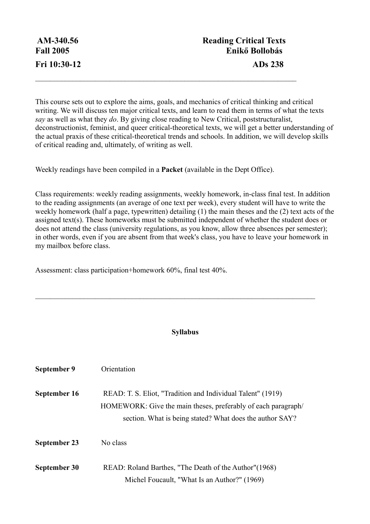This course sets out to explore the aims, goals, and mechanics of critical thinking and critical writing. We will discuss ten major critical texts, and learn to read them in terms of what the texts *say* as well as what they *do*. By giving close reading to New Critical, poststructuralist, deconstructionist, feminist, and queer critical-theoretical texts, we will get a better understanding of the actual praxis of these critical-theoretical trends and schools. In addition, we will develop skills of critical reading and, ultimately, of writing as well.

 $\mathcal{L}_\text{max}$  and  $\mathcal{L}_\text{max}$  and  $\mathcal{L}_\text{max}$  and  $\mathcal{L}_\text{max}$  and  $\mathcal{L}_\text{max}$  and  $\mathcal{L}_\text{max}$ 

Weekly readings have been compiled in a **Packet** (available in the Dept Office).

Class requirements: weekly reading assignments, weekly homework, in-class final test. In addition to the reading assignments (an average of one text per week), every student will have to write the weekly homework (half a page, typewritten) detailing (1) the main theses and the (2) text acts of the assigned text(s). These homeworks must be submitted independent of whether the student does or does not attend the class (university regulations, as you know, allow three absences per semester); in other words, even if you are absent from that week's class, you have to leave your homework in my mailbox before class.

Assessment: class participation+homework 60%, final test 40%.

## **Syllabus**

 $\mathcal{L}_\mathcal{L} = \mathcal{L}_\mathcal{L} = \mathcal{L}_\mathcal{L} = \mathcal{L}_\mathcal{L} = \mathcal{L}_\mathcal{L} = \mathcal{L}_\mathcal{L} = \mathcal{L}_\mathcal{L} = \mathcal{L}_\mathcal{L} = \mathcal{L}_\mathcal{L} = \mathcal{L}_\mathcal{L} = \mathcal{L}_\mathcal{L} = \mathcal{L}_\mathcal{L} = \mathcal{L}_\mathcal{L} = \mathcal{L}_\mathcal{L} = \mathcal{L}_\mathcal{L} = \mathcal{L}_\mathcal{L} = \mathcal{L}_\mathcal{L}$ 

| September 9  | Orientation                                                                                                                                                                              |
|--------------|------------------------------------------------------------------------------------------------------------------------------------------------------------------------------------------|
| September 16 | READ: T. S. Eliot, "Tradition and Individual Talent" (1919)<br>HOMEWORK: Give the main theses, preferably of each paragraph/<br>section. What is being stated? What does the author SAY? |
| September 23 | No class                                                                                                                                                                                 |
| September 30 | READ: Roland Barthes, "The Death of the Author"(1968)<br>Michel Foucault, "What Is an Author?" (1969)                                                                                    |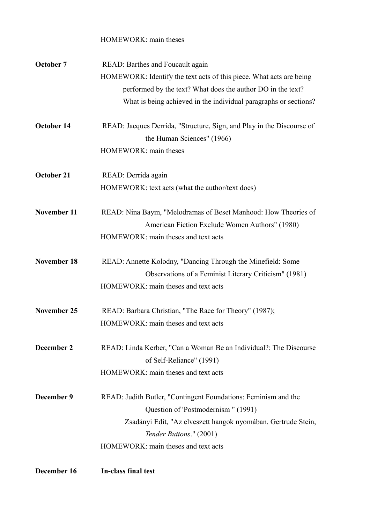| December 16        | In-class final test                                                   |
|--------------------|-----------------------------------------------------------------------|
|                    | HOMEWORK: main theses and text acts                                   |
|                    | Tender Buttons." (2001)                                               |
|                    | Zsadányi Edit, "Az elveszett hangok nyomában. Gertrude Stein,         |
|                    | Question of 'Postmodernism " (1991)                                   |
| December 9         | READ: Judith Butler, "Contingent Foundations: Feminism and the        |
|                    | HOMEWORK: main theses and text acts                                   |
|                    | of Self-Reliance" (1991)                                              |
| December 2         | READ: Linda Kerber, "Can a Woman Be an Individual?: The Discourse     |
|                    | HOMEWORK: main theses and text acts                                   |
| November 25        | READ: Barbara Christian, "The Race for Theory" (1987);                |
|                    | HOMEWORK: main theses and text acts                                   |
|                    | Observations of a Feminist Literary Criticism" (1981)                 |
| <b>November 18</b> | READ: Annette Kolodny, "Dancing Through the Minefield: Some           |
|                    | HOMEWORK: main theses and text acts                                   |
|                    | American Fiction Exclude Women Authors" (1980)                        |
| November 11        | READ: Nina Baym, "Melodramas of Beset Manhood: How Theories of        |
|                    | HOMEWORK: text acts (what the author/text does)                       |
| October 21         | READ: Derrida again                                                   |
|                    |                                                                       |
|                    | HOMEWORK: main theses                                                 |
|                    | the Human Sciences" (1966)                                            |
| October 14         | READ: Jacques Derrida, "Structure, Sign, and Play in the Discourse of |
|                    | What is being achieved in the individual paragraphs or sections?      |
|                    | performed by the text? What does the author DO in the text?           |
|                    | HOMEWORK: Identify the text acts of this piece. What acts are being   |
| October 7          | READ: Barthes and Foucault again                                      |
|                    | HOMEWORK: main theses                                                 |
|                    |                                                                       |